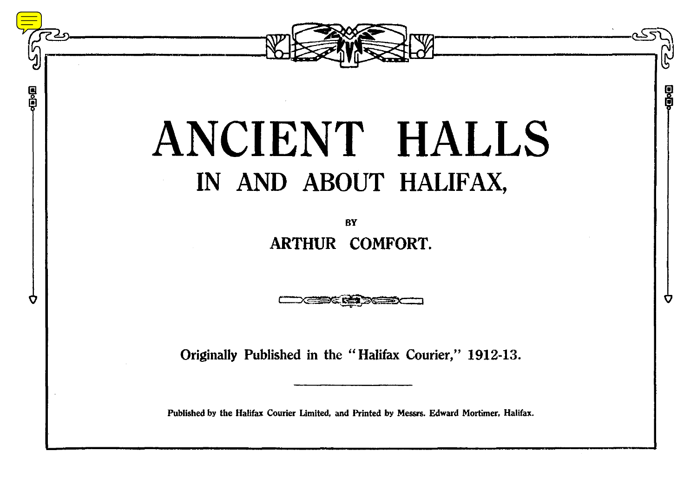

g

g<br>Do

n

## ANCIENT HALLS IN AND ABOUT HALIFAX,

**BY ARTHUR COMFORT.**

**Originally Published in the "Halifax Courier," 1912-13.**

**Published by the Halifax Courier Limited, and Printed by Messrs. Edward Mortimer, Halifax.**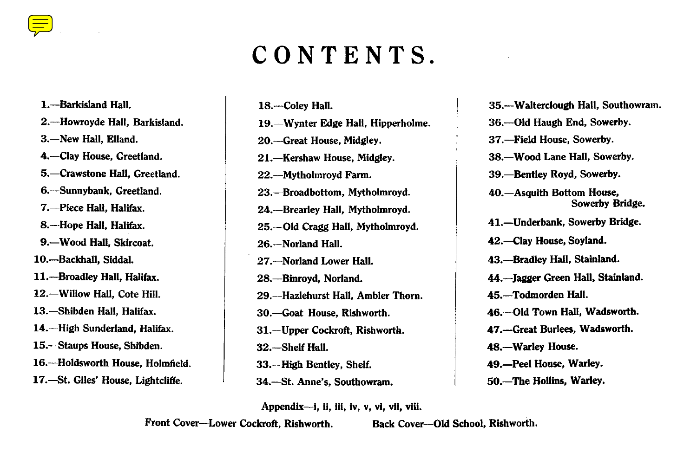## **CONTENTS.**

**1 [.—Barkisland Hall.](#page-2-0) 2 .—Howroyde Hall, Barkisland. 3 .—New Hall, Elland. 4.—Clay House, Greetland. 5 .—Crawstone Hall, Greetland. 6.—Sunnybank, Greetland. 7 .—Piece Hall, Halifax. 8 .—Hope Hall, Halifax. 9.—Wood Hall, Skircoat. 10.—Backhall, Siddal. 11.—Broadley Hall, Halifax. 12.—Willow Hall, Cote Hill. 13.—Shibden Hall, Halifax. 14.—High Sunderland, Halifax. 15.—Staups House, Shibden. 16.—Holdsworth House, Holmfield.** 17.—St. Giles' House, Lightcliffe.

**19.—Wynter Edge Hall, Hipperholme. 20.—Great House, Midgley. 21.—Kershaw House, Midgley. 22.—Mytholmroyd Farm. 23.—Broadbottom, Mytholmroyd. 24.—Brearley Hall, Mytholmroyd. 25.—Old Cragg Hall, Mytholmroyd. 26.—Norland Hall. 27.—Norland Lower Hall.**

**18.—Coley Hall.**

**28.—Binroyd, Norland. 29.—Hazlehurst Hall, Ambler Thorn. 30.—Goat House, Rishworth. 31.—Upper Cockroft, Rishworth. 32.—Shelf Hall. 33.—High Bentley, Shelf. 34.—St. Anne's, Southowram.**

**36.—Old Haugh End, Sowerby. 37.—Field House, Sowerby. 38.—Wood Lane Hall, Sowerby. 39.—Bentley Royd, Sowerby. 40.—Asquith Bottom House, Sowerby Bridge. 41.—Underbank, Sowerby Bridge. 42.—Clay House, Soyland. 43.—Bradley Hall, Stainland. 44.—Jagger Green Hall, Stainland. 45.—Todmorden Hall. 46.—Old Town Hall, Wadsworth. 47.—Great Burlees, Wadsworth. 48.—Warley House. 49.—Peel House, Warley. 50.—The Hollins, Warley.**

**35.—Walterclough Hall, Southowram.**

**Appendix—i, ii, iii, iv, v, vi, vii, viii.**

**Front Cover—Lower Cockroft, Rishworth. Back Cover—Old School, Rishworth .**